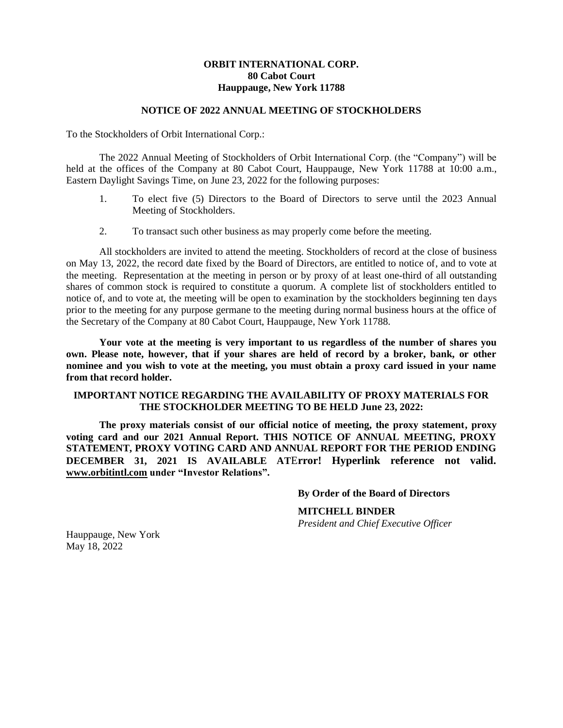## **ORBIT INTERNATIONAL CORP. 80 Cabot Court Hauppauge, New York 11788**

#### **NOTICE OF 2022 ANNUAL MEETING OF STOCKHOLDERS**

To the Stockholders of Orbit International Corp.:

The 2022 Annual Meeting of Stockholders of Orbit International Corp. (the "Company") will be held at the offices of the Company at 80 Cabot Court, Hauppauge, New York 11788 at 10:00 a.m., Eastern Daylight Savings Time, on June 23, 2022 for the following purposes:

- 1. To elect five (5) Directors to the Board of Directors to serve until the 2023 Annual Meeting of Stockholders.
- 2. To transact such other business as may properly come before the meeting.

All stockholders are invited to attend the meeting. Stockholders of record at the close of business on May 13, 2022, the record date fixed by the Board of Directors, are entitled to notice of, and to vote at the meeting. Representation at the meeting in person or by proxy of at least one-third of all outstanding shares of common stock is required to constitute a quorum. A complete list of stockholders entitled to notice of, and to vote at, the meeting will be open to examination by the stockholders beginning ten days prior to the meeting for any purpose germane to the meeting during normal business hours at the office of the Secretary of the Company at 80 Cabot Court, Hauppauge, New York 11788.

**Your vote at the meeting is very important to us regardless of the number of shares you own. Please note, however, that if your shares are held of record by a broker, bank, or other nominee and you wish to vote at the meeting, you must obtain a proxy card issued in your name from that record holder.**

### **IMPORTANT NOTICE REGARDING THE AVAILABILITY OF PROXY MATERIALS FOR THE STOCKHOLDER MEETING TO BE HELD June 23, 2022:**

**The proxy materials consist of our official notice of meeting, the proxy statement, proxy voting card and our 2021 Annual Report. THIS NOTICE OF ANNUAL MEETING, PROXY STATEMENT, PROXY VOTING CARD AND ANNUAL REPORT FOR THE PERIOD ENDING DECEMBER 31, 2021 IS AVAILABLE AT**E**rror! Hyperlink reference not valid. [www.orbitintl.com](http://www.orbitintl.com/) under "Investor Relations".**

#### **By Order of the Board of Directors**

**MITCHELL BINDER**

*President and Chief Executive Officer*

Hauppauge, New York May 18, 2022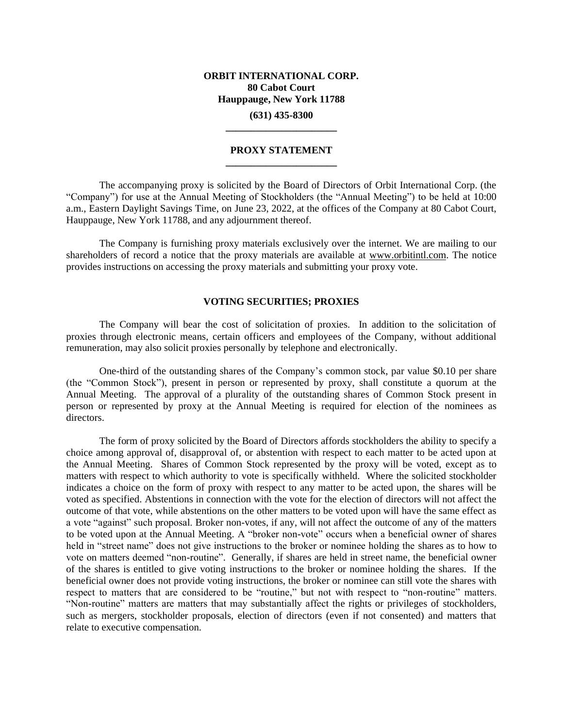# **ORBIT INTERNATIONAL CORP. 80 Cabot Court Hauppauge, New York 11788 (631) 435-8300**

### **PROXY STATEMENT \_\_\_\_\_\_\_\_\_\_\_\_\_\_\_\_\_\_\_\_\_\_**

**\_\_\_\_\_\_\_\_\_\_\_\_\_\_\_\_\_\_\_\_\_\_**

The accompanying proxy is solicited by the Board of Directors of Orbit International Corp. (the "Company") for use at the Annual Meeting of Stockholders (the "Annual Meeting") to be held at 10:00 a.m., Eastern Daylight Savings Time, on June 23, 2022, at the offices of the Company at 80 Cabot Court, Hauppauge, New York 11788, and any adjournment thereof.

The Company is furnishing proxy materials exclusively over the internet. We are mailing to our shareholders of record a notice that the proxy materials are available at [www.orbitintl.com.](http://www.orbitintl.com/) The notice provides instructions on accessing the proxy materials and submitting your proxy vote.

#### **VOTING SECURITIES; PROXIES**

The Company will bear the cost of solicitation of proxies. In addition to the solicitation of proxies through electronic means, certain officers and employees of the Company, without additional remuneration, may also solicit proxies personally by telephone and electronically.

One-third of the outstanding shares of the Company's common stock, par value \$0.10 per share (the "Common Stock"), present in person or represented by proxy, shall constitute a quorum at the Annual Meeting. The approval of a plurality of the outstanding shares of Common Stock present in person or represented by proxy at the Annual Meeting is required for election of the nominees as directors.

The form of proxy solicited by the Board of Directors affords stockholders the ability to specify a choice among approval of, disapproval of, or abstention with respect to each matter to be acted upon at the Annual Meeting. Shares of Common Stock represented by the proxy will be voted, except as to matters with respect to which authority to vote is specifically withheld. Where the solicited stockholder indicates a choice on the form of proxy with respect to any matter to be acted upon, the shares will be voted as specified. Abstentions in connection with the vote for the election of directors will not affect the outcome of that vote, while abstentions on the other matters to be voted upon will have the same effect as a vote "against" such proposal. Broker non-votes, if any, will not affect the outcome of any of the matters to be voted upon at the Annual Meeting. A "broker non-vote" occurs when a beneficial owner of shares held in "street name" does not give instructions to the broker or nominee holding the shares as to how to vote on matters deemed "non-routine". Generally, if shares are held in street name, the beneficial owner of the shares is entitled to give voting instructions to the broker or nominee holding the shares. If the beneficial owner does not provide voting instructions, the broker or nominee can still vote the shares with respect to matters that are considered to be "routine," but not with respect to "non-routine" matters. "Non-routine" matters are matters that may substantially affect the rights or privileges of stockholders, such as mergers, stockholder proposals, election of directors (even if not consented) and matters that relate to executive compensation.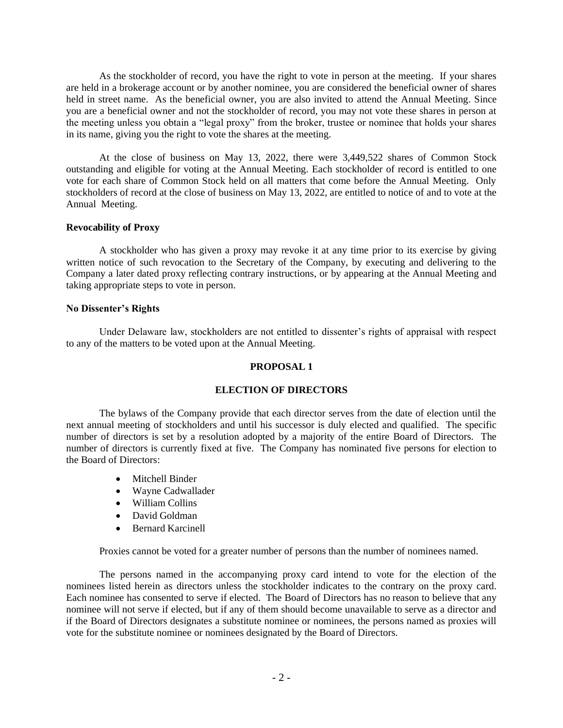As the stockholder of record, you have the right to vote in person at the meeting. If your shares are held in a brokerage account or by another nominee, you are considered the beneficial owner of shares held in street name. As the beneficial owner, you are also invited to attend the Annual Meeting. Since you are a beneficial owner and not the stockholder of record, you may not vote these shares in person at the meeting unless you obtain a "legal proxy" from the broker, trustee or nominee that holds your shares in its name, giving you the right to vote the shares at the meeting.

At the close of business on May 13, 2022, there were 3,449,522 shares of Common Stock outstanding and eligible for voting at the Annual Meeting. Each stockholder of record is entitled to one vote for each share of Common Stock held on all matters that come before the Annual Meeting. Only stockholders of record at the close of business on May 13, 2022, are entitled to notice of and to vote at the Annual Meeting.

## **Revocability of Proxy**

A stockholder who has given a proxy may revoke it at any time prior to its exercise by giving written notice of such revocation to the Secretary of the Company, by executing and delivering to the Company a later dated proxy reflecting contrary instructions, or by appearing at the Annual Meeting and taking appropriate steps to vote in person.

## **No Dissenter's Rights**

Under Delaware law, stockholders are not entitled to dissenter's rights of appraisal with respect to any of the matters to be voted upon at the Annual Meeting.

# **PROPOSAL 1**

# **ELECTION OF DIRECTORS**

The bylaws of the Company provide that each director serves from the date of election until the next annual meeting of stockholders and until his successor is duly elected and qualified. The specific number of directors is set by a resolution adopted by a majority of the entire Board of Directors. The number of directors is currently fixed at five. The Company has nominated five persons for election to the Board of Directors:

- Mitchell Binder
- Wayne Cadwallader
- William Collins
- David Goldman
- Bernard Karcinell

Proxies cannot be voted for a greater number of persons than the number of nominees named.

The persons named in the accompanying proxy card intend to vote for the election of the nominees listed herein as directors unless the stockholder indicates to the contrary on the proxy card. Each nominee has consented to serve if elected. The Board of Directors has no reason to believe that any nominee will not serve if elected, but if any of them should become unavailable to serve as a director and if the Board of Directors designates a substitute nominee or nominees, the persons named as proxies will vote for the substitute nominee or nominees designated by the Board of Directors.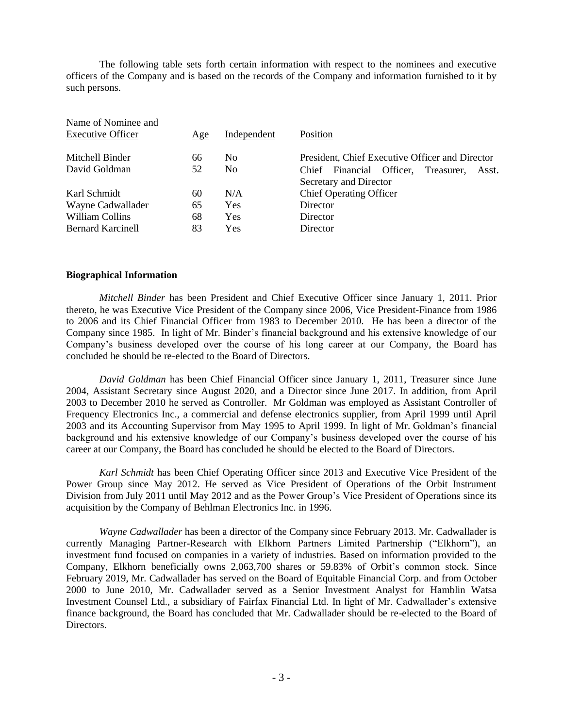The following table sets forth certain information with respect to the nominees and executive officers of the Company and is based on the records of the Company and information furnished to it by such persons.

| Name of Nominee and      |     |                |                                                 |
|--------------------------|-----|----------------|-------------------------------------------------|
| <b>Executive Officer</b> | Age | Independent    | Position                                        |
| Mitchell Binder          | 66  | N <sub>o</sub> | President, Chief Executive Officer and Director |
| David Goldman            | 52  | No.            | Treasurer.<br>Chief Financial Officer,<br>Asst. |
|                          |     |                | Secretary and Director                          |
| Karl Schmidt             | 60  | N/A            | <b>Chief Operating Officer</b>                  |
| Wayne Cadwallader        | 65  | Yes            | Director                                        |
| William Collins          | 68  | Yes            | Director                                        |
| <b>Bernard Karcinell</b> | 83  | Yes            | Director                                        |

### **Biographical Information**

*Mitchell Binder* has been President and Chief Executive Officer since January 1, 2011. Prior thereto, he was Executive Vice President of the Company since 2006, Vice President-Finance from 1986 to 2006 and its Chief Financial Officer from 1983 to December 2010. He has been a director of the Company since 1985. In light of Mr. Binder's financial background and his extensive knowledge of our Company's business developed over the course of his long career at our Company, the Board has concluded he should be re-elected to the Board of Directors.

*David Goldman* has been Chief Financial Officer since January 1, 2011, Treasurer since June 2004, Assistant Secretary since August 2020, and a Director since June 2017. In addition, from April 2003 to December 2010 he served as Controller. Mr Goldman was employed as Assistant Controller of Frequency Electronics Inc., a commercial and defense electronics supplier, from April 1999 until April 2003 and its Accounting Supervisor from May 1995 to April 1999. In light of Mr. Goldman's financial background and his extensive knowledge of our Company's business developed over the course of his career at our Company, the Board has concluded he should be elected to the Board of Directors.

*Karl Schmidt* has been Chief Operating Officer since 2013 and Executive Vice President of the Power Group since May 2012. He served as Vice President of Operations of the Orbit Instrument Division from July 2011 until May 2012 and as the Power Group's Vice President of Operations since its acquisition by the Company of Behlman Electronics Inc. in 1996.

*Wayne Cadwallader* has been a director of the Company since February 2013. Mr. Cadwallader is currently Managing Partner-Research with Elkhorn Partners Limited Partnership ("Elkhorn"), an investment fund focused on companies in a variety of industries. Based on information provided to the Company, Elkhorn beneficially owns 2,063,700 shares or 59.83% of Orbit's common stock. Since February 2019, Mr. Cadwallader has served on the Board of Equitable Financial Corp. and from October 2000 to June 2010, Mr. Cadwallader served as a Senior Investment Analyst for Hamblin Watsa Investment Counsel Ltd., a subsidiary of Fairfax Financial Ltd. In light of Mr. Cadwallader's extensive finance background, the Board has concluded that Mr. Cadwallader should be re-elected to the Board of Directors.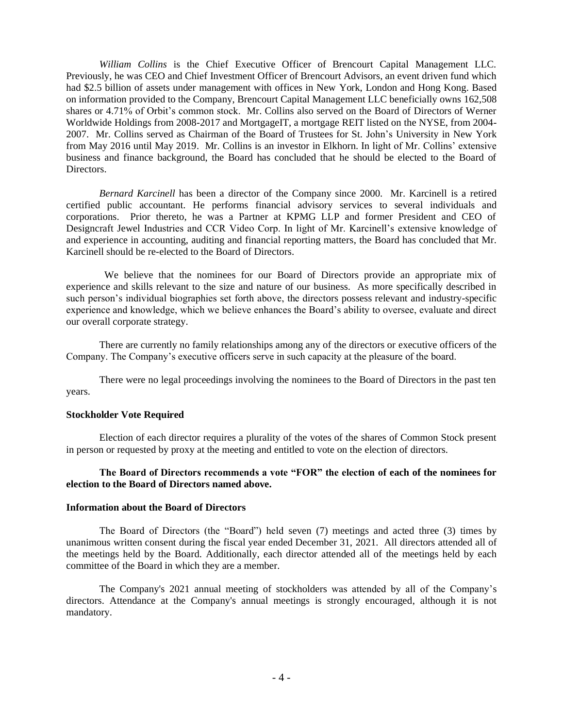*William Collins* is the Chief Executive Officer of Brencourt Capital Management LLC. Previously, he was CEO and Chief Investment Officer of Brencourt Advisors, an event driven fund which had \$2.5 billion of assets under management with offices in New York, London and Hong Kong. Based on information provided to the Company, Brencourt Capital Management LLC beneficially owns 162,508 shares or 4.71% of Orbit's common stock. Mr. Collins also served on the Board of Directors of Werner Worldwide Holdings from 2008-2017 and MortgageIT, a mortgage REIT listed on the NYSE, from 2004-2007. Mr. Collins served as Chairman of the Board of Trustees for St. John's University in New York from May 2016 until May 2019. Mr. Collins is an investor in Elkhorn. In light of Mr. Collins' extensive business and finance background, the Board has concluded that he should be elected to the Board of Directors.

*Bernard Karcinell* has been a director of the Company since 2000. Mr. Karcinell is a retired certified public accountant. He performs financial advisory services to several individuals and corporations. Prior thereto, he was a Partner at KPMG LLP and former President and CEO of Designcraft Jewel Industries and CCR Video Corp. In light of Mr. Karcinell's extensive knowledge of and experience in accounting, auditing and financial reporting matters, the Board has concluded that Mr. Karcinell should be re-elected to the Board of Directors.

 We believe that the nominees for our Board of Directors provide an appropriate mix of experience and skills relevant to the size and nature of our business. As more specifically described in such person's individual biographies set forth above, the directors possess relevant and industry-specific experience and knowledge, which we believe enhances the Board's ability to oversee, evaluate and direct our overall corporate strategy.

There are currently no family relationships among any of the directors or executive officers of the Company. The Company's executive officers serve in such capacity at the pleasure of the board.

There were no legal proceedings involving the nominees to the Board of Directors in the past ten years.

# **Stockholder Vote Required**

Election of each director requires a plurality of the votes of the shares of Common Stock present in person or requested by proxy at the meeting and entitled to vote on the election of directors.

## **The Board of Directors recommends a vote "FOR" the election of each of the nominees for election to the Board of Directors named above.**

### **Information about the Board of Directors**

The Board of Directors (the "Board") held seven (7) meetings and acted three (3) times by unanimous written consent during the fiscal year ended December 31, 2021. All directors attended all of the meetings held by the Board. Additionally, each director attended all of the meetings held by each committee of the Board in which they are a member.

The Company's 2021 annual meeting of stockholders was attended by all of the Company's directors. Attendance at the Company's annual meetings is strongly encouraged, although it is not mandatory.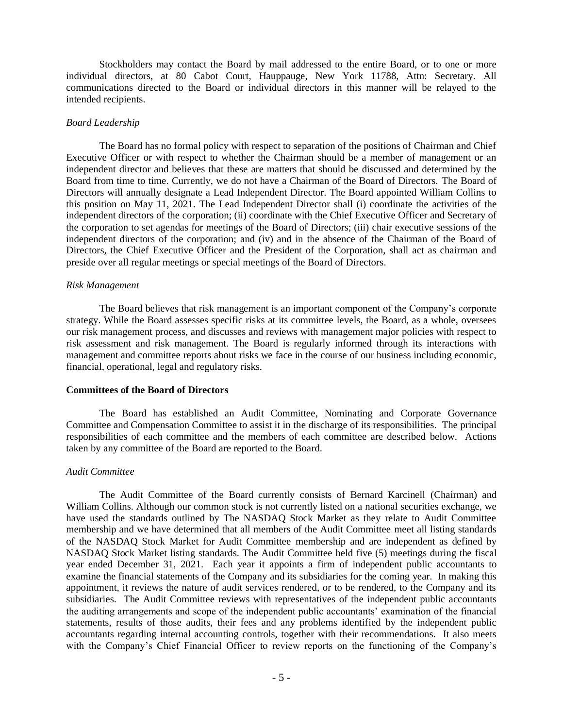Stockholders may contact the Board by mail addressed to the entire Board, or to one or more individual directors, at 80 Cabot Court, Hauppauge, New York 11788, Attn: Secretary. All communications directed to the Board or individual directors in this manner will be relayed to the intended recipients.

### *Board Leadership*

The Board has no formal policy with respect to separation of the positions of Chairman and Chief Executive Officer or with respect to whether the Chairman should be a member of management or an independent director and believes that these are matters that should be discussed and determined by the Board from time to time. Currently, we do not have a Chairman of the Board of Directors. The Board of Directors will annually designate a Lead Independent Director. The Board appointed William Collins to this position on May 11, 2021. The Lead Independent Director shall (i) coordinate the activities of the independent directors of the corporation; (ii) coordinate with the Chief Executive Officer and Secretary of the corporation to set agendas for meetings of the Board of Directors; (iii) chair executive sessions of the independent directors of the corporation; and (iv) and in the absence of the Chairman of the Board of Directors, the Chief Executive Officer and the President of the Corporation, shall act as chairman and preside over all regular meetings or special meetings of the Board of Directors.

## *Risk Management*

The Board believes that risk management is an important component of the Company's corporate strategy. While the Board assesses specific risks at its committee levels, the Board, as a whole, oversees our risk management process, and discusses and reviews with management major policies with respect to risk assessment and risk management. The Board is regularly informed through its interactions with management and committee reports about risks we face in the course of our business including economic, financial, operational, legal and regulatory risks.

# **Committees of the Board of Directors**

The Board has established an Audit Committee, Nominating and Corporate Governance Committee and Compensation Committee to assist it in the discharge of its responsibilities. The principal responsibilities of each committee and the members of each committee are described below. Actions taken by any committee of the Board are reported to the Board.

## *Audit Committee*

The Audit Committee of the Board currently consists of Bernard Karcinell (Chairman) and William Collins. Although our common stock is not currently listed on a national securities exchange, we have used the standards outlined by The NASDAQ Stock Market as they relate to Audit Committee membership and we have determined that all members of the Audit Committee meet all listing standards of the NASDAQ Stock Market for Audit Committee membership and are independent as defined by NASDAQ Stock Market listing standards. The Audit Committee held five (5) meetings during the fiscal year ended December 31, 2021. Each year it appoints a firm of independent public accountants to examine the financial statements of the Company and its subsidiaries for the coming year. In making this appointment, it reviews the nature of audit services rendered, or to be rendered, to the Company and its subsidiaries. The Audit Committee reviews with representatives of the independent public accountants the auditing arrangements and scope of the independent public accountants' examination of the financial statements, results of those audits, their fees and any problems identified by the independent public accountants regarding internal accounting controls, together with their recommendations. It also meets with the Company's Chief Financial Officer to review reports on the functioning of the Company's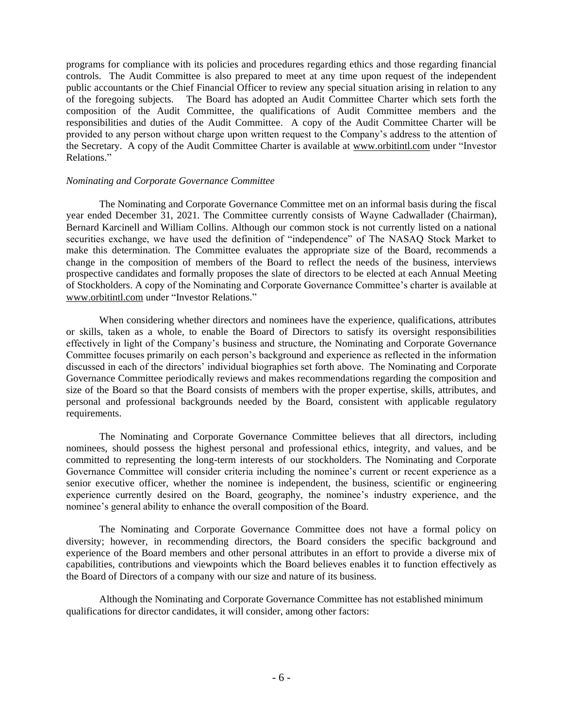programs for compliance with its policies and procedures regarding ethics and those regarding financial controls. The Audit Committee is also prepared to meet at any time upon request of the independent public accountants or the Chief Financial Officer to review any special situation arising in relation to any of the foregoing subjects. The Board has adopted an Audit Committee Charter which sets forth the composition of the Audit Committee, the qualifications of Audit Committee members and the responsibilities and duties of the Audit Committee. A copy of the Audit Committee Charter will be provided to any person without charge upon written request to the Company's address to the attention of the Secretary. A copy of the Audit Committee Charter is available at www.orbitintl.com under "Investor Relations."

### *Nominating and Corporate Governance Committee*

The Nominating and Corporate Governance Committee met on an informal basis during the fiscal year ended December 31, 2021. The Committee currently consists of Wayne Cadwallader (Chairman), Bernard Karcinell and William Collins. Although our common stock is not currently listed on a national securities exchange, we have used the definition of "independence" of The NASAQ Stock Market to make this determination. The Committee evaluates the appropriate size of the Board, recommends a change in the composition of members of the Board to reflect the needs of the business, interviews prospective candidates and formally proposes the slate of directors to be elected at each Annual Meeting of Stockholders. A copy of the Nominating and Corporate Governance Committee's charter is available at [www.orbitintl.com](http://www.orbitintl.com/) under "Investor Relations."

When considering whether directors and nominees have the experience, qualifications, attributes or skills, taken as a whole, to enable the Board of Directors to satisfy its oversight responsibilities effectively in light of the Company's business and structure, the Nominating and Corporate Governance Committee focuses primarily on each person's background and experience as reflected in the information discussed in each of the directors' individual biographies set forth above. The Nominating and Corporate Governance Committee periodically reviews and makes recommendations regarding the composition and size of the Board so that the Board consists of members with the proper expertise, skills, attributes, and personal and professional backgrounds needed by the Board, consistent with applicable regulatory requirements.

The Nominating and Corporate Governance Committee believes that all directors, including nominees, should possess the highest personal and professional ethics, integrity, and values, and be committed to representing the long-term interests of our stockholders. The Nominating and Corporate Governance Committee will consider criteria including the nominee's current or recent experience as a senior executive officer, whether the nominee is independent, the business, scientific or engineering experience currently desired on the Board, geography, the nominee's industry experience, and the nominee's general ability to enhance the overall composition of the Board.

The Nominating and Corporate Governance Committee does not have a formal policy on diversity; however, in recommending directors, the Board considers the specific background and experience of the Board members and other personal attributes in an effort to provide a diverse mix of capabilities, contributions and viewpoints which the Board believes enables it to function effectively as the Board of Directors of a company with our size and nature of its business.

Although the Nominating and Corporate Governance Committee has not established minimum qualifications for director candidates, it will consider, among other factors: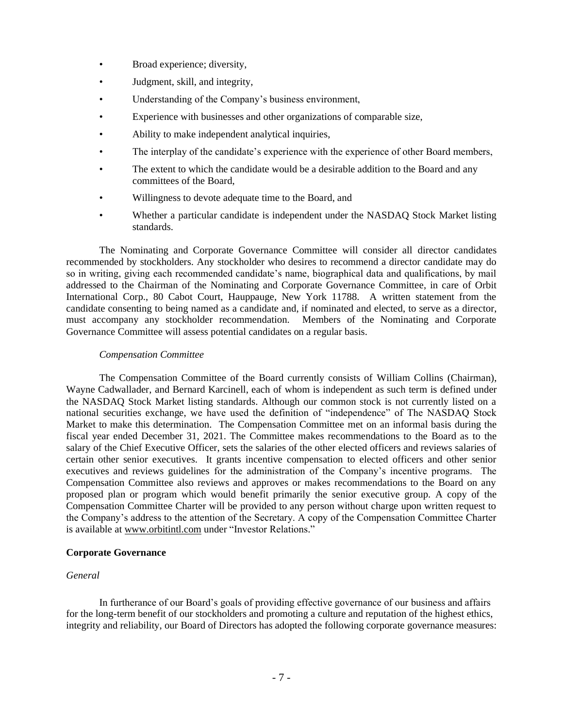- Broad experience; diversity,
- Judgment, skill, and integrity,
- Understanding of the Company's business environment,
- Experience with businesses and other organizations of comparable size,
- Ability to make independent analytical inquiries,
- The interplay of the candidate's experience with the experience of other Board members,
- The extent to which the candidate would be a desirable addition to the Board and any committees of the Board,
- Willingness to devote adequate time to the Board, and
- Whether a particular candidate is independent under the NASDAQ Stock Market listing standards.

The Nominating and Corporate Governance Committee will consider all director candidates recommended by stockholders. Any stockholder who desires to recommend a director candidate may do so in writing, giving each recommended candidate's name, biographical data and qualifications, by mail addressed to the Chairman of the Nominating and Corporate Governance Committee, in care of Orbit International Corp., 80 Cabot Court, Hauppauge, New York 11788. A written statement from the candidate consenting to being named as a candidate and, if nominated and elected, to serve as a director, must accompany any stockholder recommendation. Members of the Nominating and Corporate Governance Committee will assess potential candidates on a regular basis.

### *Compensation Committee*

The Compensation Committee of the Board currently consists of William Collins (Chairman), Wayne Cadwallader, and Bernard Karcinell, each of whom is independent as such term is defined under the NASDAQ Stock Market listing standards. Although our common stock is not currently listed on a national securities exchange, we have used the definition of "independence" of The NASDAQ Stock Market to make this determination. The Compensation Committee met on an informal basis during the fiscal year ended December 31, 2021. The Committee makes recommendations to the Board as to the salary of the Chief Executive Officer, sets the salaries of the other elected officers and reviews salaries of certain other senior executives. It grants incentive compensation to elected officers and other senior executives and reviews guidelines for the administration of the Company's incentive programs. The Compensation Committee also reviews and approves or makes recommendations to the Board on any proposed plan or program which would benefit primarily the senior executive group. A copy of the Compensation Committee Charter will be provided to any person without charge upon written request to the Company's address to the attention of the Secretary. A copy of the Compensation Committee Charter is available at [www.orbitintl.com](http://www.orbitintl.com/) under "Investor Relations."

### **Corporate Governance**

### *General*

In furtherance of our Board's goals of providing effective governance of our business and affairs for the long-term benefit of our stockholders and promoting a culture and reputation of the highest ethics, integrity and reliability, our Board of Directors has adopted the following corporate governance measures: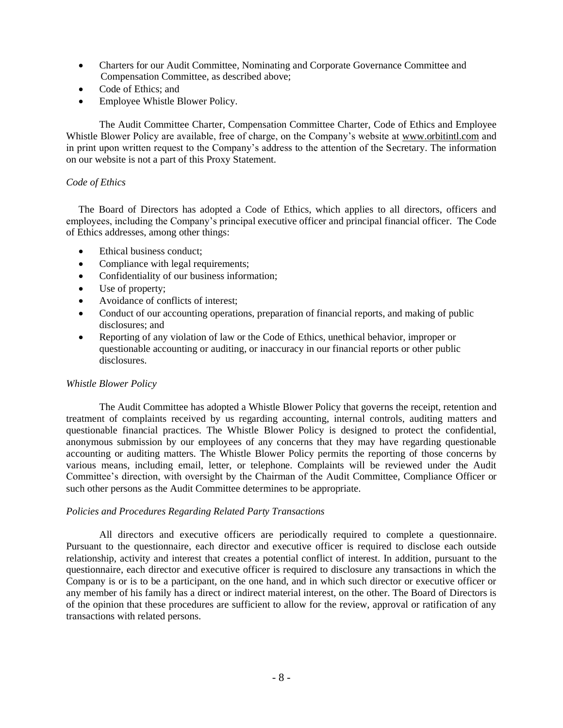- Charters for our Audit Committee, Nominating and Corporate Governance Committee and Compensation Committee, as described above;
- Code of Ethics; and
- Employee Whistle Blower Policy.

The Audit Committee Charter, Compensation Committee Charter, Code of Ethics and Employee Whistle Blower Policy are available, free of charge, on the Company's website at www.orbitintl.com and in print upon written request to the Company's address to the attention of the Secretary. The information on our website is not a part of this Proxy Statement.

# *Code of Ethics*

The Board of Directors has adopted a Code of Ethics, which applies to all directors, officers and employees, including the Company's principal executive officer and principal financial officer. The Code of Ethics addresses, among other things:

- Ethical business conduct;
- Compliance with legal requirements;
- Confidentiality of our business information;
- Use of property;
- Avoidance of conflicts of interest;
- Conduct of our accounting operations, preparation of financial reports, and making of public disclosures; and
- Reporting of any violation of law or the Code of Ethics, unethical behavior, improper or questionable accounting or auditing, or inaccuracy in our financial reports or other public disclosures.

# *Whistle Blower Policy*

The Audit Committee has adopted a Whistle Blower Policy that governs the receipt, retention and treatment of complaints received by us regarding accounting, internal controls, auditing matters and questionable financial practices. The Whistle Blower Policy is designed to protect the confidential, anonymous submission by our employees of any concerns that they may have regarding questionable accounting or auditing matters. The Whistle Blower Policy permits the reporting of those concerns by various means, including email, letter, or telephone. Complaints will be reviewed under the Audit Committee's direction, with oversight by the Chairman of the Audit Committee, Compliance Officer or such other persons as the Audit Committee determines to be appropriate.

# *Policies and Procedures Regarding Related Party Transactions*

All directors and executive officers are periodically required to complete a questionnaire. Pursuant to the questionnaire, each director and executive officer is required to disclose each outside relationship, activity and interest that creates a potential conflict of interest. In addition, pursuant to the questionnaire, each director and executive officer is required to disclosure any transactions in which the Company is or is to be a participant, on the one hand, and in which such director or executive officer or any member of his family has a direct or indirect material interest, on the other. The Board of Directors is of the opinion that these procedures are sufficient to allow for the review, approval or ratification of any transactions with related persons.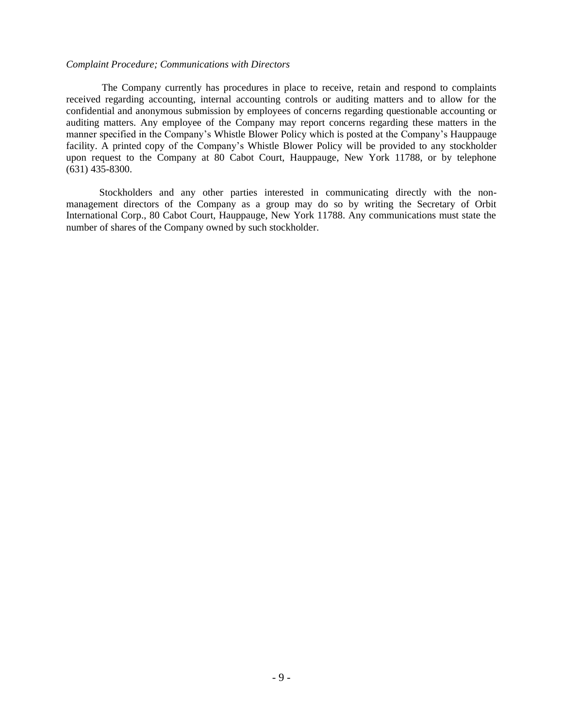#### *Complaint Procedure; Communications with Directors*

The Company currently has procedures in place to receive, retain and respond to complaints received regarding accounting, internal accounting controls or auditing matters and to allow for the confidential and anonymous submission by employees of concerns regarding questionable accounting or auditing matters. Any employee of the Company may report concerns regarding these matters in the manner specified in the Company's Whistle Blower Policy which is posted at the Company's Hauppauge facility. A printed copy of the Company's Whistle Blower Policy will be provided to any stockholder upon request to the Company at 80 Cabot Court, Hauppauge, New York 11788, or by telephone (631) 435-8300.

Stockholders and any other parties interested in communicating directly with the nonmanagement directors of the Company as a group may do so by writing the Secretary of Orbit International Corp., 80 Cabot Court, Hauppauge, New York 11788. Any communications must state the number of shares of the Company owned by such stockholder.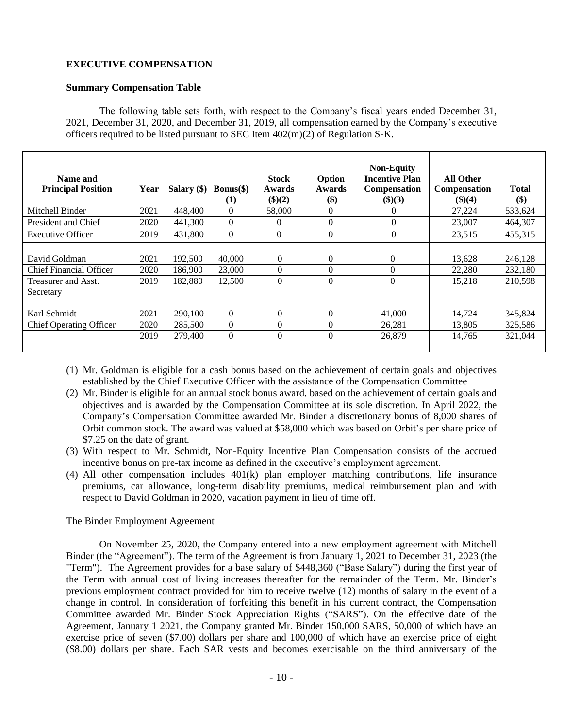# **EXECUTIVE COMPENSATION**

## **Summary Compensation Table**

The following table sets forth, with respect to the Company's fiscal years ended December 31, 2021, December 31, 2020, and December 31, 2019, all compensation earned by the Company's executive officers required to be listed pursuant to SEC Item  $402(m)(2)$  of Regulation S-K.

| Name and<br><b>Principal Position</b> | Year | Salary (\$) | $Bonus(\$))$<br>(1) | <b>Stock</b><br>Awards<br>(\$)(2) | Option<br><b>Awards</b><br>$\left( \text{\$}\right)$ | <b>Non-Equity</b><br><b>Incentive Plan</b><br><b>Compensation</b><br>\$)(3) | <b>All Other</b><br><b>Compensation</b><br>\$)(4) | <b>Total</b><br>\$) |
|---------------------------------------|------|-------------|---------------------|-----------------------------------|------------------------------------------------------|-----------------------------------------------------------------------------|---------------------------------------------------|---------------------|
| Mitchell Binder                       | 2021 | 448,400     | $\Omega$            | 58,000                            | $\Omega$                                             |                                                                             | 27,224                                            | 533,624             |
| President and Chief                   | 2020 | 441,300     | $\Omega$            | 0                                 | $\Omega$                                             | $\Omega$                                                                    | 23,007                                            | 464.307             |
| <b>Executive Officer</b>              | 2019 | 431,800     | $\Omega$            | $\Omega$                          | $\Omega$                                             | $\Omega$                                                                    | 23,515                                            | 455,315             |
|                                       |      |             |                     |                                   |                                                      |                                                                             |                                                   |                     |
| David Goldman                         | 2021 | 192,500     | 40,000              | $\Omega$                          | $\Omega$                                             | 0                                                                           | 13,628                                            | 246,128             |
| Chief Financial Officer               | 2020 | 186.900     | 23,000              | $\Omega$                          | $\Omega$                                             | 0                                                                           | 22,280                                            | 232,180             |
| Treasurer and Asst.<br>Secretary      | 2019 | 182.880     | 12,500              | $\theta$                          | $\Omega$                                             | 0                                                                           | 15.218                                            | 210.598             |
|                                       |      |             |                     |                                   |                                                      |                                                                             |                                                   |                     |
| Karl Schmidt                          | 2021 | 290,100     | $\Omega$            | $\Omega$                          | $\theta$                                             | 41,000                                                                      | 14,724                                            | 345,824             |
| <b>Chief Operating Officer</b>        | 2020 | 285,500     | $\Omega$            | $\theta$                          | $\Omega$                                             | 26,281                                                                      | 13,805                                            | 325,586             |
|                                       | 2019 | 279,400     | $\Omega$            | $\Omega$                          | $\Omega$                                             | 26,879                                                                      | 14.765                                            | 321,044             |
|                                       |      |             |                     |                                   |                                                      |                                                                             |                                                   |                     |

- (1) Mr. Goldman is eligible for a cash bonus based on the achievement of certain goals and objectives established by the Chief Executive Officer with the assistance of the Compensation Committee
- (2) Mr. Binder is eligible for an annual stock bonus award, based on the achievement of certain goals and objectives and is awarded by the Compensation Committee at its sole discretion. In April 2022, the Company's Compensation Committee awarded Mr. Binder a discretionary bonus of 8,000 shares of Orbit common stock. The award was valued at \$58,000 which was based on Orbit's per share price of \$7.25 on the date of grant.
- (3) With respect to Mr. Schmidt, Non-Equity Incentive Plan Compensation consists of the accrued incentive bonus on pre-tax income as defined in the executive's employment agreement.
- (4) All other compensation includes 401(k) plan employer matching contributions, life insurance premiums, car allowance, long-term disability premiums, medical reimbursement plan and with respect to David Goldman in 2020, vacation payment in lieu of time off.

### The Binder Employment Agreement

 On November 25, 2020, the Company entered into a new employment agreement with Mitchell Binder (the "Agreement"). The term of the Agreement is from January 1, 2021 to December 31, 2023 (the "Term"). The Agreement provides for a base salary of \$448,360 ("Base Salary") during the first year of the Term with annual cost of living increases thereafter for the remainder of the Term. Mr. Binder's previous employment contract provided for him to receive twelve (12) months of salary in the event of a change in control. In consideration of forfeiting this benefit in his current contract, the Compensation Committee awarded Mr. Binder Stock Appreciation Rights ("SARS"). On the effective date of the Agreement, January 1 2021, the Company granted Mr. Binder 150,000 SARS, 50,000 of which have an exercise price of seven (\$7.00) dollars per share and 100,000 of which have an exercise price of eight (\$8.00) dollars per share. Each SAR vests and becomes exercisable on the third anniversary of the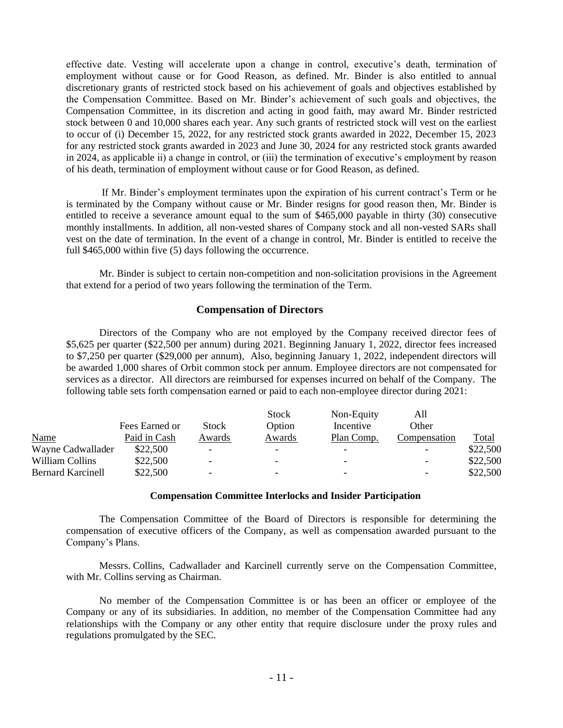effective date. Vesting will accelerate upon a change in control, executive's death, termination of employment without cause or for Good Reason, as defined. Mr. Binder is also entitled to annual discretionary grants of restricted stock based on his achievement of goals and objectives established by the Compensation Committee. Based on Mr. Binder's achievement of such goals and objectives, the Compensation Committee, in its discretion and acting in good faith, may award Mr. Binder restricted stock between 0 and 10,000 shares each year. Any such grants of restricted stock will vest on the earliest to occur of (i) December 15, 2022, for any restricted stock grants awarded in 2022, December 15, 2023 for any restricted stock grants awarded in 2023 and June 30, 2024 for any restricted stock grants awarded in 2024, as applicable ii) a change in control, or (iii) the termination of executive's employment by reason of his death, termination of employment without cause or for Good Reason, as defined.

 If Mr. Binder's employment terminates upon the expiration of his current contract's Term or he is terminated by the Company without cause or Mr. Binder resigns for good reason then, Mr. Binder is entitled to receive a severance amount equal to the sum of \$465,000 payable in thirty (30) consecutive monthly installments. In addition, all non-vested shares of Company stock and all non-vested SARs shall vest on the date of termination. In the event of a change in control, Mr. Binder is entitled to receive the full \$465,000 within five (5) days following the occurrence.

Mr. Binder is subject to certain non-competition and non-solicitation provisions in the Agreement that extend for a period of two years following the termination of the Term.

# **Compensation of Directors**

Directors of the Company who are not employed by the Company received director fees of \$5,625 per quarter (\$22,500 per annum) during 2021. Beginning January 1, 2022, director fees increased to \$7,250 per quarter (\$29,000 per annum), Also, beginning January 1, 2022, independent directors will be awarded 1,000 shares of Orbit common stock per annum. Employee directors are not compensated for services as a director. All directors are reimbursed for expenses incurred on behalf of the Company. The following table sets forth compensation earned or paid to each non-employee director during 2021:

|                          |                |                          | <b>Stock</b> | Non-Equity | All          |          |
|--------------------------|----------------|--------------------------|--------------|------------|--------------|----------|
|                          | Fees Earned or | Stock                    | Option       | Incentive  | Other        |          |
| <b>Name</b>              | Paid in Cash   | Awards                   | Awards       | Plan Comp. | Compensation | Total    |
| Wayne Cadwallader        | \$22,500       | $\overline{\phantom{0}}$ |              |            |              | \$22,500 |
| William Collins          | \$22,500       | $\overline{\phantom{a}}$ |              |            |              | \$22,500 |
| <b>Bernard Karcinell</b> | \$22,500       | $\overline{\phantom{0}}$ | -            | -          | -            | \$22,500 |

# **Compensation Committee Interlocks and Insider Participation**

The Compensation Committee of the Board of Directors is responsible for determining the compensation of executive officers of the Company, as well as compensation awarded pursuant to the Company's Plans.

Messrs. Collins, Cadwallader and Karcinell currently serve on the Compensation Committee, with Mr. Collins serving as Chairman.

No member of the Compensation Committee is or has been an officer or employee of the Company or any of its subsidiaries. In addition, no member of the Compensation Committee had any relationships with the Company or any other entity that require disclosure under the proxy rules and regulations promulgated by the SEC.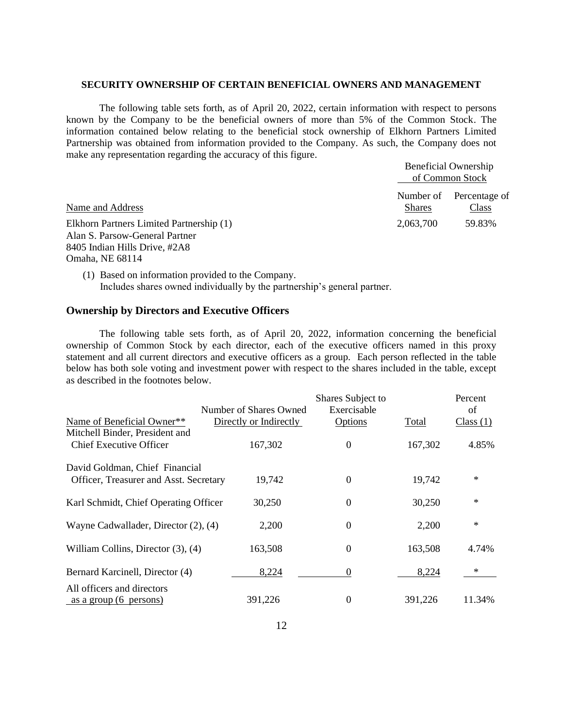#### **SECURITY OWNERSHIP OF CERTAIN BENEFICIAL OWNERS AND MANAGEMENT**

The following table sets forth, as of April 20, 2022, certain information with respect to persons known by the Company to be the beneficial owners of more than 5% of the Common Stock. The information contained below relating to the beneficial stock ownership of Elkhorn Partners Limited Partnership was obtained from information provided to the Company. As such, the Company does not make any representation regarding the accuracy of this figure.

|                                                                                                             |                            | <b>Beneficial Ownership</b><br>of Common Stock |
|-------------------------------------------------------------------------------------------------------------|----------------------------|------------------------------------------------|
| Name and Address                                                                                            | Number of<br><b>Shares</b> | Percentage of<br>Class                         |
| Elkhorn Partners Limited Partnership (1)<br>Alan S. Parsow-General Partner<br>8405 Indian Hills Drive, #2A8 | 2,063,700                  | 59.83%                                         |

Omaha, NE 68114

(1) Based on information provided to the Company. Includes shares owned individually by the partnership's general partner.

## **Ownership by Directors and Executive Officers**

The following table sets forth, as of April 20, 2022, information concerning the beneficial ownership of Common Stock by each director, each of the executive officers named in this proxy statement and all current directors and executive officers as a group. Each person reflected in the table below has both sole voting and investment power with respect to the shares included in the table, except as described in the footnotes below. Ï

|                                           |                        | Shares Subject to |         | Percent   |
|-------------------------------------------|------------------------|-------------------|---------|-----------|
|                                           | Number of Shares Owned | Exercisable       |         | of        |
| Name of Beneficial Owner**                | Directly or Indirectly | Options           | Total   | Class (1) |
| Mitchell Binder, President and            |                        |                   |         |           |
| <b>Chief Executive Officer</b>            | 167,302                | $\theta$          | 167,302 | 4.85%     |
| David Goldman, Chief Financial            |                        |                   |         |           |
| Officer, Treasurer and Asst. Secretary    | 19,742                 | $\overline{0}$    | 19,742  | $\ast$    |
| Karl Schmidt, Chief Operating Officer     | 30,250                 | $\boldsymbol{0}$  | 30,250  | $\ast$    |
|                                           |                        |                   |         | $\ast$    |
| Wayne Cadwallader, Director $(2)$ , $(4)$ | 2,200                  | $\theta$          | 2,200   |           |
| William Collins, Director $(3)$ , $(4)$   | 163,508                | $\theta$          | 163,508 | 4.74%     |
| Bernard Karcinell, Director (4)           | 8,224                  | 0                 | 8,224   | $*$       |
| All officers and directors                |                        |                   |         |           |
| as a group (6 persons)                    | 391,226                | 0                 | 391,226 | 11.34%    |